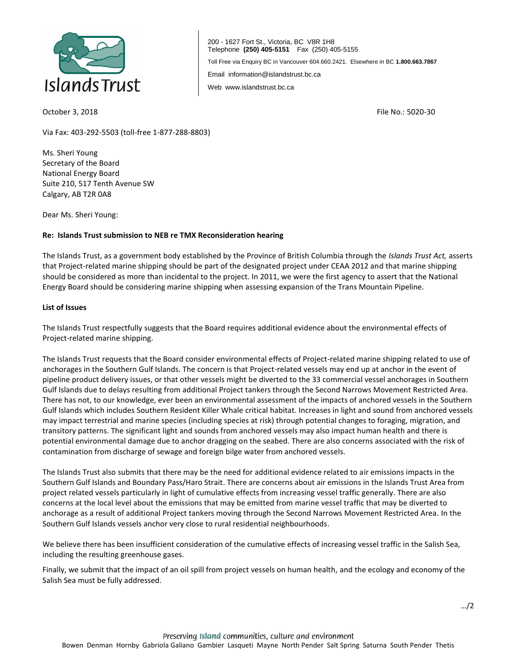

200 - 1627 Fort St., Victoria, BC V8R 1H8 Telephone **(250) 405-5151** Fax (250) 405-5155 Toll Free via Enquiry BC in Vancouver 604.660.2421. Elsewhere in BC **1.800.663.7867** Email information@islandstrust.bc.ca Web www.islandstrust.bc.ca

October 3, 2018 File No.: 5020-30

Via Fax: 403-292-5503 (toll-free 1-877-288-8803)

Ms. Sheri Young Secretary of the Board National Energy Board Suite 210, 517 Tenth Avenue SW Calgary, AB T2R 0A8

Dear Ms. Sheri Young:

## **Re: Islands Trust submission to NEB re TMX Reconsideration hearing**

The Islands Trust, as a government body established by the Province of British Columbia through the *Islands Trust Act,* asserts that Project-related marine shipping should be part of the designated project under CEAA 2012 and that marine shipping should be considered as more than incidental to the project. In 2011, we were the first agency to assert that the National Energy Board should be considering marine shipping when assessing expansion of the Trans Mountain Pipeline.

## **List of Issues**

The Islands Trust respectfully suggests that the Board requires additional evidence about the environmental effects of Project-related marine shipping.

The Islands Trust requests that the Board consider environmental effects of Project-related marine shipping related to use of anchorages in the Southern Gulf Islands. The concern is that Project-related vessels may end up at anchor in the event of pipeline product delivery issues, or that other vessels might be diverted to the 33 commercial vessel anchorages in Southern Gulf Islands due to delays resulting from additional Project tankers through the Second Narrows Movement Restricted Area. There has not, to our knowledge, ever been an environmental assessment of the impacts of anchored vessels in the Southern Gulf Islands which includes Southern Resident Killer Whale critical habitat. Increases in light and sound from anchored vessels may impact terrestrial and marine species (including species at risk) through potential changes to foraging, migration, and transitory patterns. The significant light and sounds from anchored vessels may also impact human health and there is potential environmental damage due to anchor dragging on the seabed. There are also concerns associated with the risk of contamination from discharge of sewage and foreign bilge water from anchored vessels.

The Islands Trust also submits that there may be the need for additional evidence related to air emissions impacts in the Southern Gulf Islands and Boundary Pass/Haro Strait. There are concerns about air emissions in the Islands Trust Area from project related vessels particularly in light of cumulative effects from increasing vessel traffic generally. There are also concerns at the local level about the emissions that may be emitted from marine vessel traffic that may be diverted to anchorage as a result of additional Project tankers moving through the Second Narrows Movement Restricted Area. In the Southern Gulf Islands vessels anchor very close to rural residential neighbourhoods.

We believe there has been insufficient consideration of the cumulative effects of increasing vessel traffic in the Salish Sea, including the resulting greenhouse gases.

Finally, we submit that the impact of an oil spill from project vessels on human health, and the ecology and economy of the Salish Sea must be fully addressed.